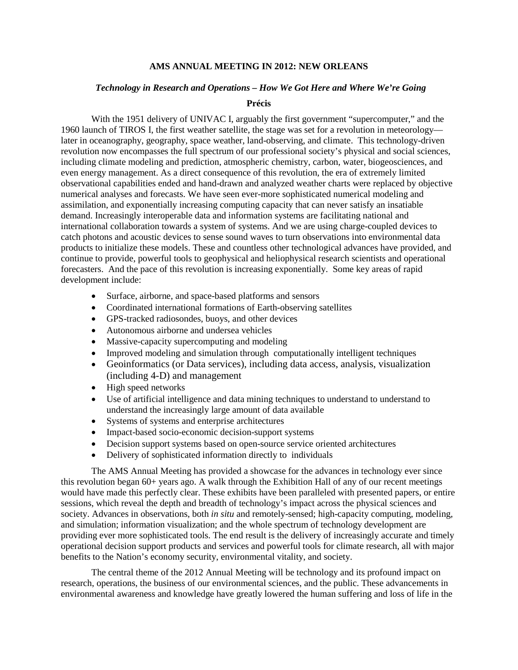## **AMS ANNUAL MEETING IN 2012: NEW ORLEANS**

## *Technology in Research and Operations – How We Got Here and Where We're Going*

## **Précis**

With the 1951 delivery of UNIVAC I, arguably the first government "supercomputer," and the 1960 launch of TIROS I, the first weather satellite, the stage was set for a revolution in meteorology later in oceanography, geography, space weather, land-observing, and climate. This technology-driven revolution now encompasses the full spectrum of our professional society's physical and social sciences, including climate modeling and prediction, atmospheric chemistry, carbon, water, biogeosciences, and even energy management. As a direct consequence of this revolution, the era of extremely limited observational capabilities ended and hand-drawn and analyzed weather charts were replaced by objective numerical analyses and forecasts. We have seen ever-more sophisticated numerical modeling and assimilation, and exponentially increasing computing capacity that can never satisfy an insatiable demand. Increasingly interoperable data and information systems are facilitating national and international collaboration towards a system of systems. And we are using charge-coupled devices to catch photons and acoustic devices to sense sound waves to turn observations into environmental data products to initialize these models. These and countless other technological advances have provided, and continue to provide, powerful tools to geophysical and heliophysical research scientists and operational forecasters. And the pace of this revolution is increasing exponentially. Some key areas of rapid development include:

- Surface, airborne, and space-based platforms and sensors
- Coordinated international formations of Earth-observing satellites
- GPS-tracked radiosondes, buoys, and other devices
- Autonomous airborne and undersea vehicles
- Massive-capacity supercomputing and modeling
- Improved modeling and simulation through computationally intelligent techniques
- Geoinformatics (or Data services), including data access, analysis, visualization (including 4-D) and management
- High speed networks
- Use of artificial intelligence and data mining techniques to understand to understand to understand the increasingly large amount of data available
- Systems of systems and enterprise architectures
- Impact-based socio-economic decision-support systems
- Decision support systems based on open-source service oriented architectures
- Delivery of sophisticated information directly to individuals

The AMS Annual Meeting has provided a showcase for the advances in technology ever since this revolution began 60+ years ago. A walk through the Exhibition Hall of any of our recent meetings would have made this perfectly clear. These exhibits have been paralleled with presented papers, or entire sessions, which reveal the depth and breadth of technology's impact across the physical sciences and society. Advances in observations, both *in situ* and remotely-sensed; high-capacity computing, modeling, and simulation; information visualization; and the whole spectrum of technology development are providing ever more sophisticated tools. The end result is the delivery of increasingly accurate and timely operational decision support products and services and powerful tools for climate research, all with major benefits to the Nation's economy security, environmental vitality, and society.

The central theme of the 2012 Annual Meeting will be technology and its profound impact on research, operations, the business of our environmental sciences, and the public. These advancements in environmental awareness and knowledge have greatly lowered the human suffering and loss of life in the